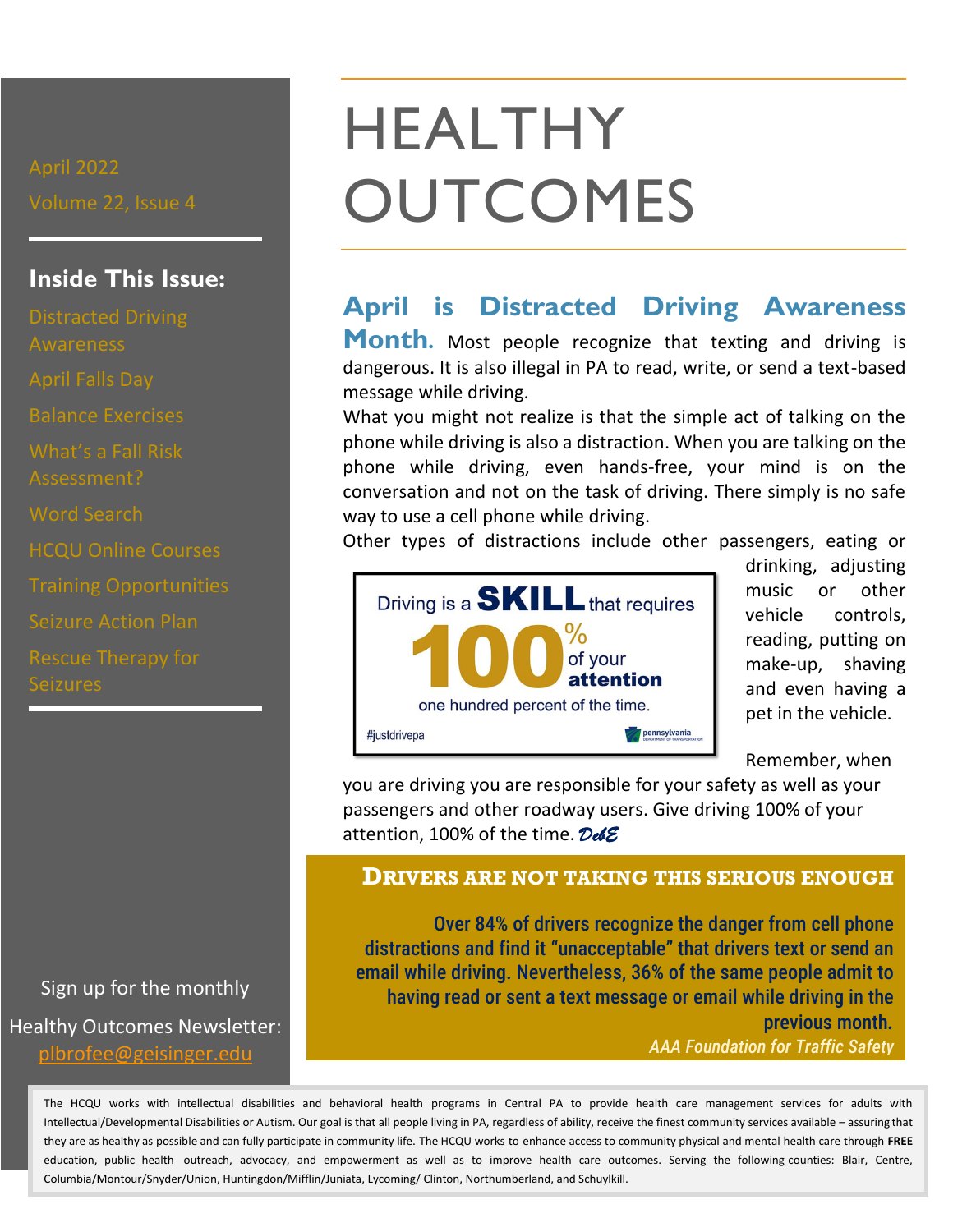## **Inside This Issue:**

Distracted Driving Balance Exercises Word Search HCQU Online Courses Seizure Action Plan Seizures

Sign up for the monthly Healthy Outcomes Newsletter: [plbrofee@geisinger.edu](mailto:plbrofee@geisinger.edu)

## HEALTHY **OUTCOMES**

## **April is Distracted Driving Awareness**

**Month.** Most people recognize that texting and driving is dangerous. It is also illegal in PA to read, write, or send a text-based message while driving.

What you might not realize is that the simple act of talking on the phone while driving is also a distraction. When you are talking on the phone while driving, even hands-free, your mind is on the conversation and not on the task of driving. There simply is no safe way to use a cell phone while driving.

Other types of distractions include other passengers, eating or



drinking, adjusting music or other vehicle controls, reading, putting on make-up, shaving and even having a pet in the vehicle.

Remember, when

you are driving you are responsible for your safety as well as your passengers and other roadway users. Give driving 100% of your attention, 100% of the time. *DebE* 

#### **DRIVERS ARE NOT TAKING THIS SERIOUS ENOUGH**

Over 84% of drivers recognize the danger from cell phone distractions and find it "unacceptable" that drivers text or send an email while driving. Nevertheless, 36% of the same people admit to having read or sent a text message or email while driving in the previous month*. AAA Foundation for Traffic Safety* 

The HCQU works with intellectual disabilities and behavioral health programs in Central PA to provide health care management services for adults with Intellectual/Developmental Disabilities or Autism. Our goal is that all people living in PA, regardless of ability, receive the finest community services available – assuring that they are as healthy as possible and can fully participate in community life. The HCQU works to enhance access to community physical and mental health care through **FREE** education, public health outreach, advocacy, and empowerment as well as to improve health care outcomes. Serving the following counties: Blair, Centre, Columbia/Montour/Snyder/Union, Huntingdon/Mifflin/Juniata, Lycoming/ Clinton, Northumberland, and Schuylkill.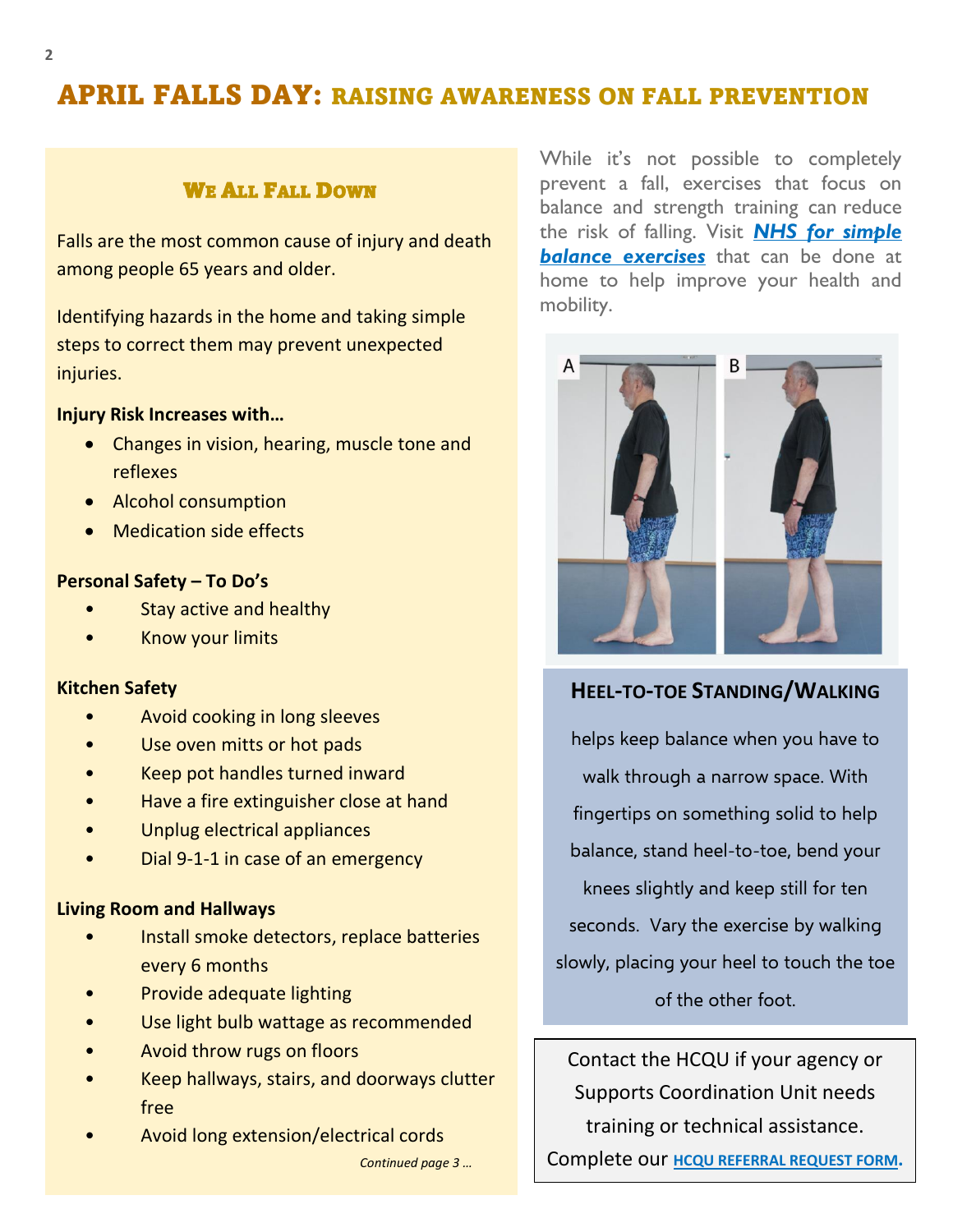## APRIL FALLS DAY: RAISING AWARENESS ON FALL PREVENTION

### WE ALL FALL DOWN

Falls are the most common cause of injury and death among people 65 years and older.

steps to correct them may prevent unexpected **live a healthier life?** Identifying hazards in the home and taking simple injuries.

#### **Injury Risk Increases with…**

- Changes in vision, hearing, muscle tone and reflexes
- Alcohol consumption
- Medication side effects

#### **Personal Safety – To Do's**

- Stay active and healthy
- Know your limits

#### **Kitchen Safety**

- Avoid cooking in long sleeves
- Use oven mitts or hot pads
- Keep pot handles turned inward
- Have a fire extinguisher close at hand
- Unplug electrical appliances
- Dial 9-1-1 in case of an emergency

#### **Living Room and Hallways**

- Install smoke detectors, replace batteries every 6 months
- Provide adequate lighting
- Use light bulb wattage as recommended
- Avoid throw rugs on floors
- Keep hallways, stairs, and doorways clutter free
- Avoid long extension/electrical cords

While it's not possible to completely [prevent a fall,](https://www.hopkinsmedicine.org/healthlibrary/conditions/adult/non-traumatic_emergencies/older_adults_preventing_falls_85,p00830) exercises that focus on balance and strength training can [reduce](https://www.hopkinsmedicine.org/health/healthy_aging/healthy_body/4-ways-improve-fall-safety)  [the risk of falling.](https://www.hopkinsmedicine.org/health/healthy_aging/healthy_body/4-ways-improve-fall-safety) Visit *[NHS for simple](https://www.nhs.uk/live-well/exercise/balance-exercises/)* **[balance exercises](https://www.nhs.uk/live-well/exercise/balance-exercises/)** that can be done at home to help improve your health and mobility.



#### **HEEL-TO-TOE STANDING/WALKING**

helps keep balance when you have to walk through a narrow space. With fingertips on something solid to help balance, stand heel-to-toe, bend your knees slightly and keep still for ten seconds. Vary the exercise by walking slowly, placing your heel to touch the toe of the other foot.

Contact the HCQU if your agency or Supports Coordination Unit needs training or technical assistance.

*Continued page 3 …* Complete our **[HCQU REFERRAL REQUEST F](https://www.geisinger.org/-/media/OneGeisinger/pdfs/ghs/patient-care/for-professionals/professional-resources/hcqu/Referral-Form.pdf?la=en)ORM.**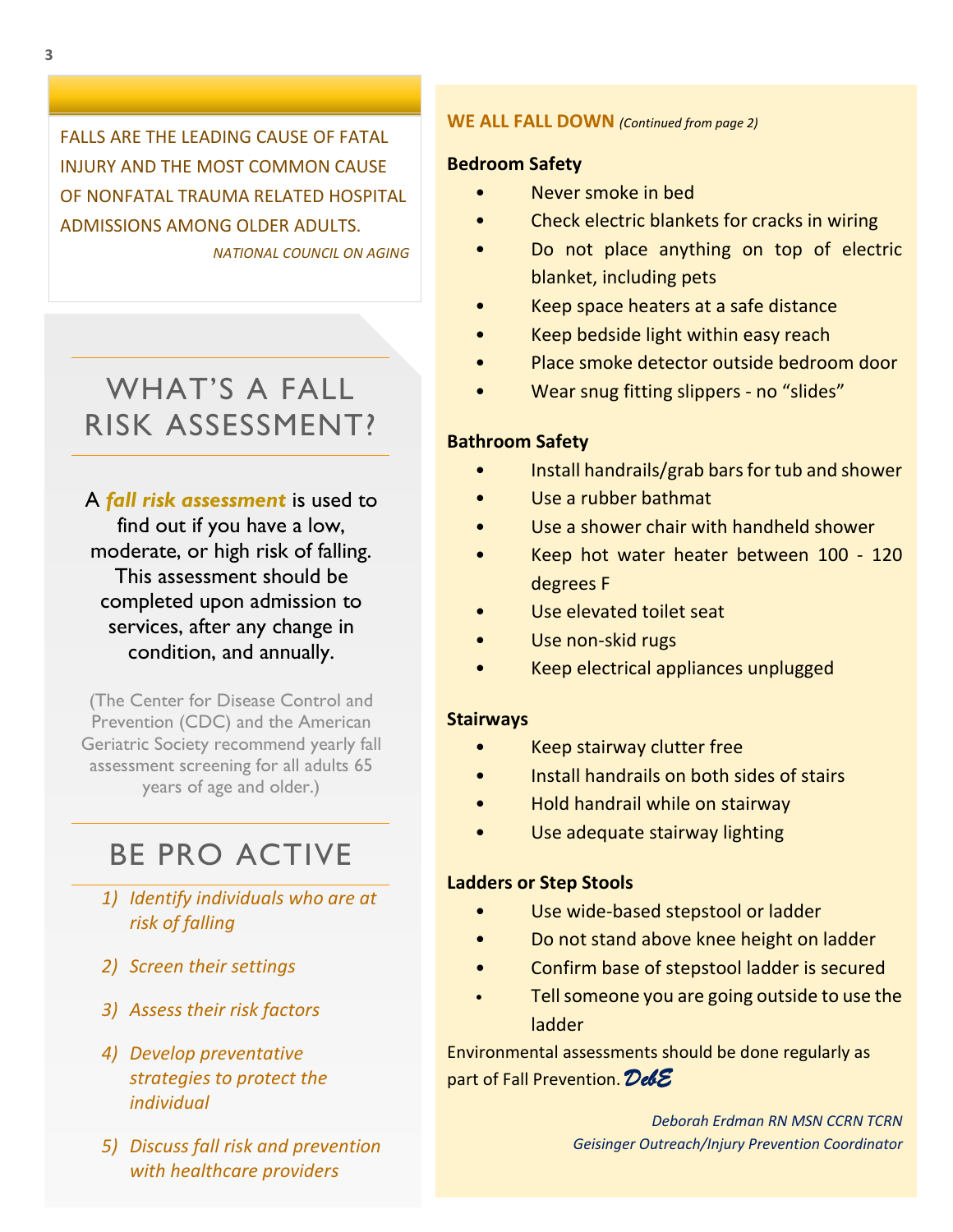FALLS ARE THE LEADING CAUSE OF FATAL INJURY AND THE MOST COMMON CAUSE OF NONFATAL TRAUMA RELATED HOSPITAL ADMISSIONS AMONG OLDER ADULTS. *NATIONAL COUNCIL ON AGING* 

## WHAT'S A FALL RISK ASSESSMENT?

A *fall risk assessment* is used to find out if you have a low, moderate, or high risk of falling. This assessment should be completed upon admission to services, after any change in condition, and annually.

(The Center for Disease Control and Prevention (CDC) and the American Geriatric Society recommend yearly fall assessment screening for all adults 65 years of age and older.)

## BE PRO ACTIVE

- *1) Identify individuals who are at risk of falling*
- *2) Screen their settings*
- *3) Assess their risk factors*
- *4) Develop preventative strategies to protect the individual*
- *5) Discuss fall risk and prevention with healthcare providers*

#### **WE ALL FALL DOWN** *(Continued from page 2)*

#### **Bedroom Safety**

- Never smoke in bed
- Check electric blankets for cracks in wiring
- Do not place anything on top of electric blanket, including pets
- Keep space heaters at a safe distance
- Keep bedside light within easy reach
- Place smoke detector outside bedroom door
- Wear snug fitting slippers no "slides"

#### **Bathroom Safety**

- Install handrails/grab bars for tub and shower
- Use a rubber bathmat
- Use a shower chair with handheld shower
- Keep hot water heater between 100 120 degrees F
- Use elevated toilet seat
- Use non-skid rugs
- Keep electrical appliances unplugged

#### **Stairways**

- Keep stairway clutter free
- Install handrails on both sides of stairs
- Hold handrail while on stairway
- Use adequate stairway lighting

#### **Ladders or Step Stools**

- Use wide-based stepstool or ladder
- Do not stand above knee height on ladder
- Confirm base of stepstool ladder is secured
- Tell someone you are going outside to use the ladder

Environmental assessments should be done regularly as part of Fall Prevention. *DebE* 

> *Deborah Erdman RN MSN CCRN TCRN Geisinger Outreach/Injury Prevention Coordinator*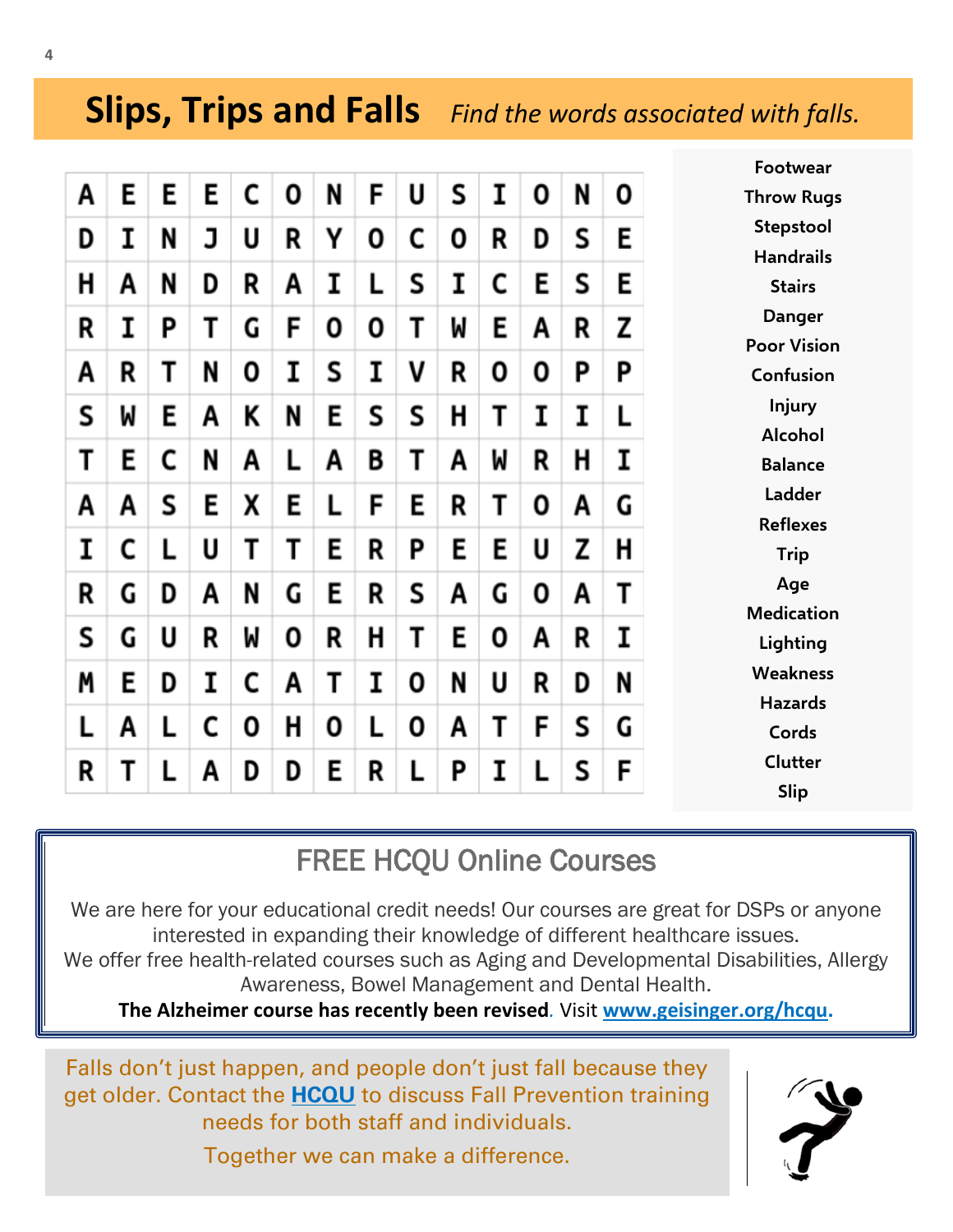## **Slips, Trips and Falls** *Find the words associated with falls.*

|   |   |   |   |   |   |   |   |   |   |   |   |   |   | Footwear           |
|---|---|---|---|---|---|---|---|---|---|---|---|---|---|--------------------|
| Α | E | Ε | E | C | 0 | N | F | U | S | Ι | 0 | N | 0 | <b>Throw Rugs</b>  |
| D | Ι | N | J | U | R | Υ | 0 | C | 0 | R | D | S | E | Stepstool          |
|   |   |   |   |   |   |   |   |   |   |   |   |   |   | <b>Handrails</b>   |
| н | A | N | D | R | Α | I | L | S | I | C | E | S | Ε | <b>Stairs</b>      |
| R | I | P | Т | G | F | 0 | 0 | Τ | W | Ε | A | R | Z | <b>Danger</b>      |
|   |   |   |   |   |   |   |   |   |   |   |   |   |   | <b>Poor Vision</b> |
| A | R | Т | N | 0 | I | S | I | ٧ | R | 0 | 0 | Ρ | Ρ | Confusion          |
| S | M | E | Α | K | N | E | S | S | Н | Т | Ι | Ι | L | <b>Injury</b>      |
|   |   |   |   |   |   |   |   |   |   |   |   |   |   | <b>Alcohol</b>     |
| т | E | C | N | A | L | A | B | Т | A | M | R | н | I | <b>Balance</b>     |
| A | Α | S | E | Χ | E | L | F | E | R | Τ | 0 | Α | G | Ladder             |
|   |   |   |   |   |   |   |   |   |   |   |   |   |   | <b>Reflexes</b>    |
| I | C | L | U | Τ | Т | E | R | Ρ | E | E | U | z | Н | <b>Trip</b>        |
| R | G | D | Α | N | G | E | R | S | А | G | 0 | Α | Т | Age                |
|   |   |   |   |   |   |   |   |   |   |   |   |   |   | <b>Medication</b>  |
| S | G | U | R | W | 0 | R | Н | Т | Ε | 0 | Α | R | I | Lighting           |
|   |   |   |   |   |   |   |   |   |   |   |   |   |   | <b>Weakness</b>    |
| M | E | D | I | C | A | Т | I | 0 | N | U | R | D | N | <b>Hazards</b>     |
| L | A | L | C | 0 | Н | 0 | L | 0 | Α | T | F | S | G | Cords              |
|   |   |   |   |   |   |   |   |   |   |   |   |   |   |                    |
| R | Τ |   | A | D | D | Ε | R |   | Ρ | Ι |   | S | F | Clutter            |
|   |   |   |   |   |   |   |   |   |   |   |   |   |   | <b>Slip</b>        |

## FREE HCQU Online Courses

We are here for your educational credit needs! Our courses are great for DSPs or anyone interested in expanding their knowledge of different healthcare issues. We offer free health-related courses such as Aging and Developmental Disabilities, Allergy Awareness, Bowel Management and Dental Health.

**The Alzheimer course has recently been revised***.* Visit **[www.geisinger.org/hcqu.](http://www.geisinger.org/hcqu)**

Falls don't just happen, and people don't just fall because they get older. Contact the **[HCQU](https://www.geisinger.org/patient-care/for-professionals/about-healthcare-quality-unit/contact-us)** to discuss Fall Prevention training needs for both staff and individuals. Together we can make a difference.



**Ice**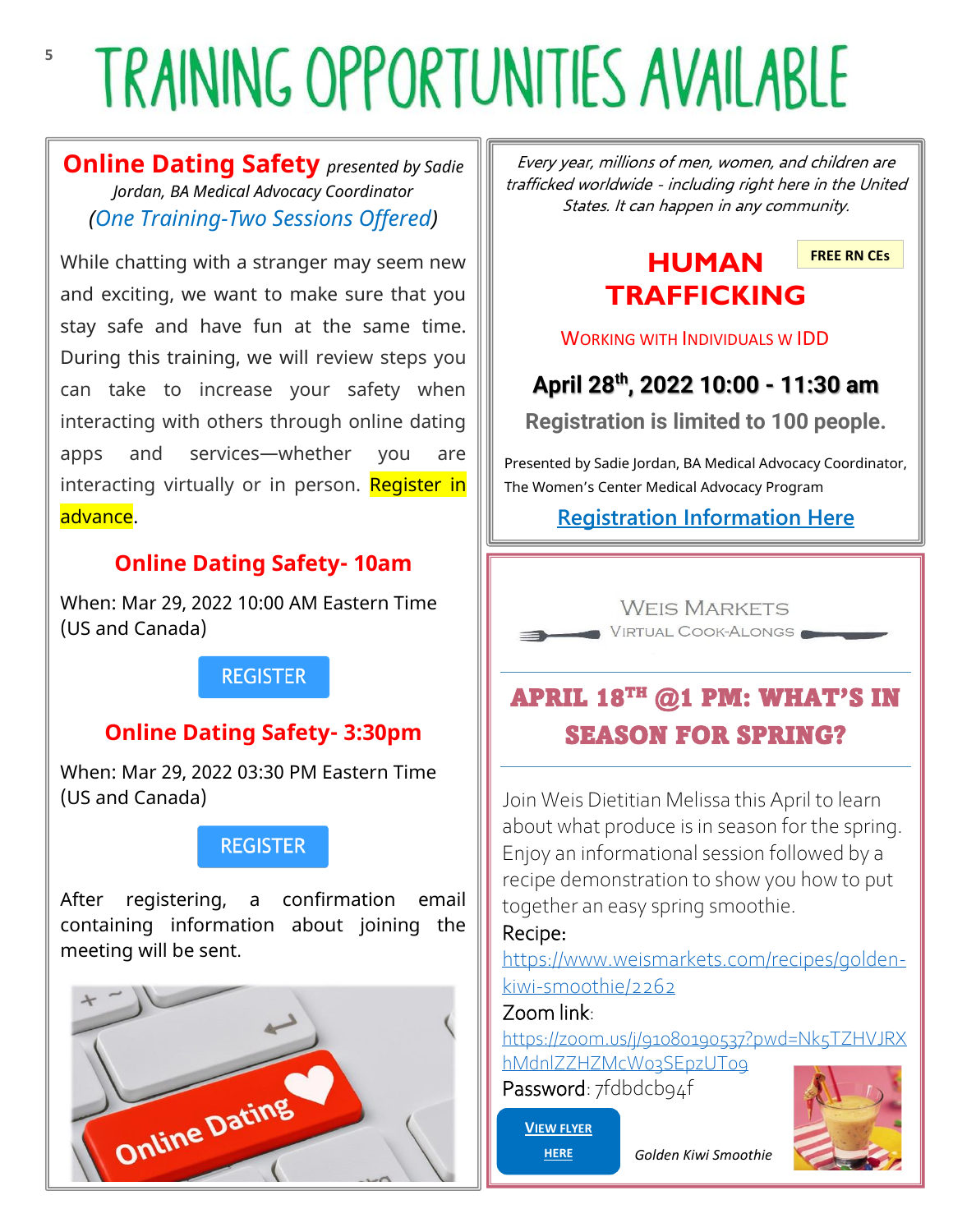# **TRAINING OPPORTUNITIES AVAILABLE**

**Online Dating Safety** *presented by Sadie Jordan, BA Medical Advocacy Coordinator (One Training-Two Sessions Offered)*

While chatting with a stranger may seem new and exciting, we want to make sure that you stay safe and have fun at the same time. During this training, we will review steps you can take to increase your safety when interacting with others through online dating apps and services—whether you are interacting virtually or in person. Register in advance.

## **Online Dating Safety- 10am**

When: Mar 29, 2022 10:00 AM Eastern Time (US and Canada)

## **REGISTER**

## **Online Dating Safety- 3:30pm**

When: Mar 29, 2022 03:30 PM Eastern Time (US and Canada)

## **REGISTER**

After registering, a confirmation email containing information about joining the meeting will be sent.



Every year, millions of men, women, and children are trafficked worldwide - including right here in the United States. It can happen in any community.

## **HUMAN TRAFFICKING**

**FREE RN CEs**

WORKING WITH INDIVIDUALS W IDD

## **April 28th, 2022 10:00 - 11:30 am**

**Registration is limited to 100 people.**

Presented by Sadie Jordan, BA Medical Advocacy Coordinator, The Women's Center Medical Advocacy Program

## **[Registration Information Here](https://www.geisinger.org/-/media/OneGeisinger/pdfs/ghs/patient-care/for-professionals/professional-resources/hcqu/Human-Trafficking-Flyer-April-2022.pdf?la=en)**



## APRIL 18TH @1 PM: WHAT'S IN SEASON FOR SPRING?

Join Weis Dietitian Melissa this April to learn about what produce is in season for the spring. Enjoy an informational session followed by a recipe demonstration to show you how to put together an easy spring smoothie.

### Recipe:

[https://www.weismarkets.com/recipes/golden](https://nam12.safelinks.protection.outlook.com/?url=https%3A%2F%2Fwww.weismarkets.com%2Frecipes%2Fgolden-kiwi-smoothie%2F2262&data=04%7C01%7Cplbrofee%40geisinger.edu%7Cc458f3dad6bf49ac4dad08da01dfa3b6%7C37d46c567c664402a16055c2313b910d%7C0%7C0%7C637824357285988671%7CUnknown%7CTWFpbGZsb3d8eyJWIjoiMC4wLjAwMDAiLCJQIjoiV2luMzIiLCJBTiI6Ik1haWwiLCJXVCI6Mn0%3D%7C3000&sdata=SGe3LNpCDPI9kks31mmAQ1HjMvHSrVsE5rvXVwtUYyk%3D&reserved=0)[kiwi-smoothie/2262](https://nam12.safelinks.protection.outlook.com/?url=https%3A%2F%2Fwww.weismarkets.com%2Frecipes%2Fgolden-kiwi-smoothie%2F2262&data=04%7C01%7Cplbrofee%40geisinger.edu%7Cc458f3dad6bf49ac4dad08da01dfa3b6%7C37d46c567c664402a16055c2313b910d%7C0%7C0%7C637824357285988671%7CUnknown%7CTWFpbGZsb3d8eyJWIjoiMC4wLjAwMDAiLCJQIjoiV2luMzIiLCJBTiI6Ik1haWwiLCJXVCI6Mn0%3D%7C3000&sdata=SGe3LNpCDPI9kks31mmAQ1HjMvHSrVsE5rvXVwtUYyk%3D&reserved=0)

## Zoom link:

[https://zoom.us/j/91080190537?pwd=Nk5TZHVJRX](https://nam12.safelinks.protection.outlook.com/?url=https%3A%2F%2Fzoom.us%2Fj%2F91080190537%3Fpwd%3DNk5TZHVJRXhMdnlZZHZMcW03SEpzUT09&data=04%7C01%7Cplbrofee%40geisinger.edu%7Cc458f3dad6bf49ac4dad08da01dfa3b6%7C37d46c567c664402a16055c2313b910d%7C0%7C0%7C637824357285988671%7CUnknown%7CTWFpbGZsb3d8eyJWIjoiMC4wLjAwMDAiLCJQIjoiV2luMzIiLCJBTiI6Ik1haWwiLCJXVCI6Mn0%3D%7C3000&sdata=7HXXp3thI%2BgLw5XPy8ksvJ%2BdYrxnOcSTqc7X1mMkN%2Bc%3D&reserved=0) [hMdnlZZHZMcW03SEpzUT09](https://nam12.safelinks.protection.outlook.com/?url=https%3A%2F%2Fzoom.us%2Fj%2F91080190537%3Fpwd%3DNk5TZHVJRXhMdnlZZHZMcW03SEpzUT09&data=04%7C01%7Cplbrofee%40geisinger.edu%7Cc458f3dad6bf49ac4dad08da01dfa3b6%7C37d46c567c664402a16055c2313b910d%7C0%7C0%7C637824357285988671%7CUnknown%7CTWFpbGZsb3d8eyJWIjoiMC4wLjAwMDAiLCJQIjoiV2luMzIiLCJBTiI6Ik1haWwiLCJXVCI6Mn0%3D%7C3000&sdata=7HXXp3thI%2BgLw5XPy8ksvJ%2BdYrxnOcSTqc7X1mMkN%2Bc%3D&reserved=0)

Password: 7fdbdcb94f

**V[IEW FLYER](https://www.geisinger.org/-/media/OneGeisinger/pdfs/ghs/patient-care/for-professionals/professional-resources/hcqu/Weis-Markets-Cook-Along-April-2022.pdf?la=en)  [HERE](https://www.geisinger.org/-/media/OneGeisinger/pdfs/ghs/patient-care/for-professionals/professional-resources/hcqu/Weis-Markets-Cook-Along-April-2022.pdf?la=en)**



*Golden Kiwi Smoothie*